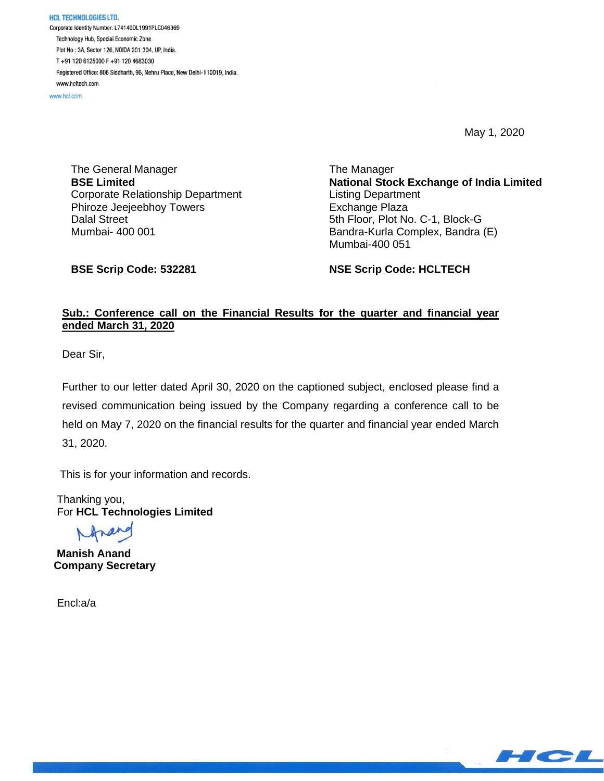**HCL TECHNOLOGIES LTD.** Corporate Identity Number: L74140DL1991PLC046369 Technology Hub, Special Economic Zone Plot No: 3A, Sector 126, NOIDA 201 304, UP, India. T+91 120 6125000 F+91 120 4683030 Registered Office: 806 Siddharth, 96, Nehru Place, New Delhi-110019, India. www.hcltech.com

www.hcl.com

May 1, 2020

The General Manager **BSE Limited** Corporate Relationship Department Phiroze Jeejeebhoy Towers Dalal Street Mumbai- 400 001

The Manager **National Stock Exchange of India Limited** Listing Department Exchange Plaza 5th Floor, Plot No. C-1, Block-G Bandra-Kurla Complex, Bandra (E) Mumbai-400 051

**BSE Scrip Code: 532281**

**NSE Scrip Code: HCLTECH**

## **Sub.: Conference call on the Financial Results for the quarter and financial year ended March 31, 2020**

Dear Sir,

Further to our letter dated April 30, 2020 on the captioned subject, enclosed please find a revised communication being issued by the Company regarding a conference call to be held on May 7, 2020 on the financial results for the quarter and financial year ended March 31, 2020.

This is for your information and records.

 Thanking you, For **HCL Technologies Limited**

Inan

 **Manish Anand Company Secretary**

Encl:a/a